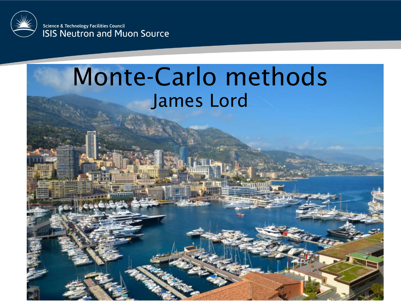

Science & Technology Facilities Council **ISIS Neutron and Muon Source** 

#### Monte-Carlo methods James Lord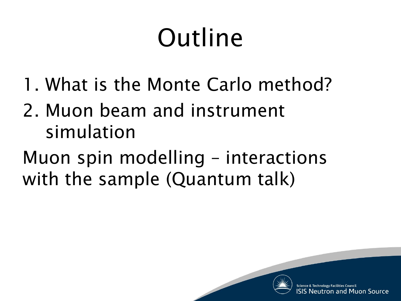## Outline

- 1. What is the Monte Carlo method?
- 2. Muon beam and instrument simulation
- Muon spin modelling interactions with the sample (Quantum talk)

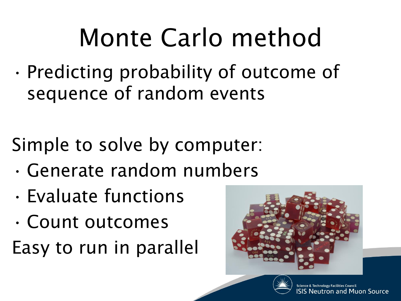### Monte Carlo method

• Predicting probability of outcome of sequence of random events

Simple to solve by computer:

- Generate random numbers
- Evaluate functions
- Count outcomes

Easy to run in parallel



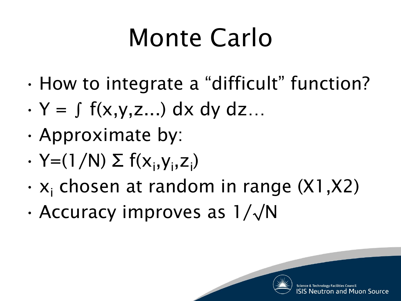## Monte Carlo

- How to integrate a "difficult" function?
- $\cdot$  Y =  $\int f(x,y,z...) dx dy dz...$
- Approximate by:
- $\cdot$  Y=(1/N)  $\Sigma$  f(x<sub>i</sub>,y<sub>i</sub>,z<sub>i</sub>)
- $\cdot$  x<sub>i</sub> chosen at random in range (X1,X2)
- Accuracy improves as 1/√N

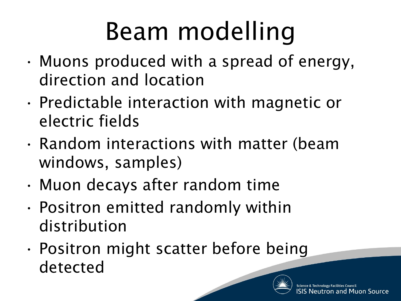## Beam modelling

- Muons produced with a spread of energy, direction and location
- Predictable interaction with magnetic or electric fields
- Random interactions with matter (beam windows, samples)
- Muon decays after random time
- Positron emitted randomly within distribution
- Positron might scatter before being detected

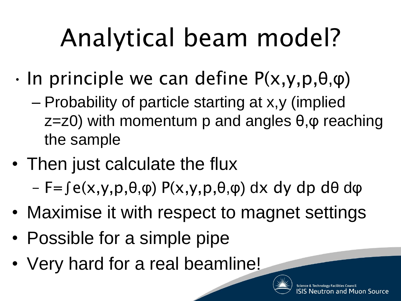# Analytical beam model?

- $\cdot$  In principle we can define P(x,y,p, $\theta$ , $\varphi$ )
	- Probability of particle starting at x,y (implied  $z=z0$ ) with momentum p and angles  $\theta$ ,  $\varphi$  reaching the sample
- Then just calculate the flux – F=∫e(x,y,p,θ,φ) P(x,y,p,θ,φ) dx dy dp dθ dφ
- Maximise it with respect to magnet settings
- Possible for a simple pipe
- Very hard for a real beamline!

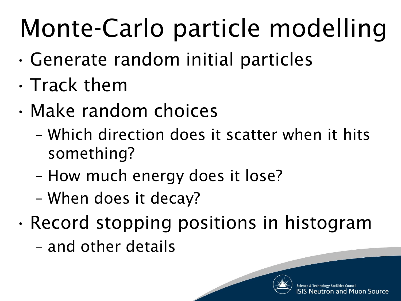## Monte-Carlo particle modelling

- Generate random initial particles
- Track them
- Make random choices
	- Which direction does it scatter when it hits something?
	- How much energy does it lose?
	- When does it decay?
- Record stopping positions in histogram – and other details

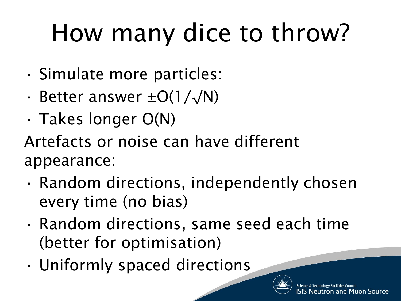## How many dice to throw?

- Simulate more particles:
- Better answer  $\pm O(1/\sqrt{N})$
- Takes longer O(N)

Artefacts or noise can have different appearance:

- Random directions, independently chosen every time (no bias)
- Random directions, same seed each time (better for optimisation)
- Uniformly spaced directions

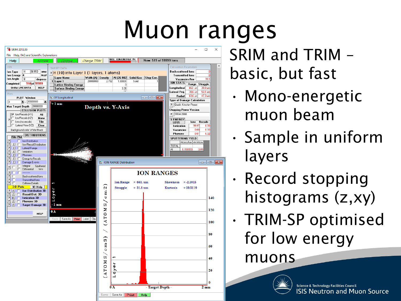### Muon ranges



SRIM and TRIM – basic, but fast

- Mono-energetic muon beam
- Sample in uniform layers
- Record stopping histograms (z,xy)
- TRIM-SP optimised for low energy

muons

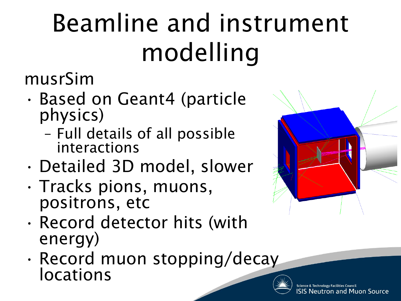## Beamline and instrument modelling

musrSim

- Based on Geant4 (particle physics)
	- Full details of all possible interactions
- Detailed 3D model, slower
- Tracks pions, muons, positrons, etc
- Record detector hits (with energy)
- Record muon stopping/decay locations



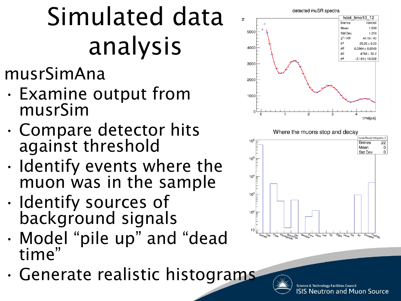## Simulated data analysis

#### musrSimAna

- Examine output from musrSim
- Compare detector hits against threshold
- Identify events where the muon was in the sample
- Identify sources of background signals
- Model "pile up" and "dead time"
- Generate realistic histograms

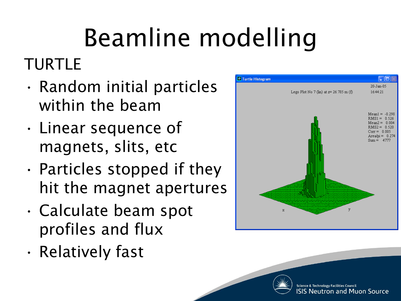# Beamline modelling

#### TURTLE

- Random initial particles within the beam
- Linear sequence of magnets, slits, etc
- Particles stopped if they hit the magnet apertures
- Calculate beam spot profiles and flux
- Relatively fast